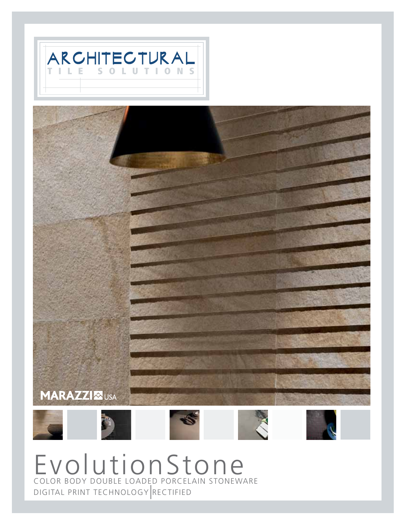



## EvolutionStone COLOR BODY DOUBLE LOADED PORCELAIN STONEWARE DIGITAL PRINT TECHNOLOGY RECTIFIED